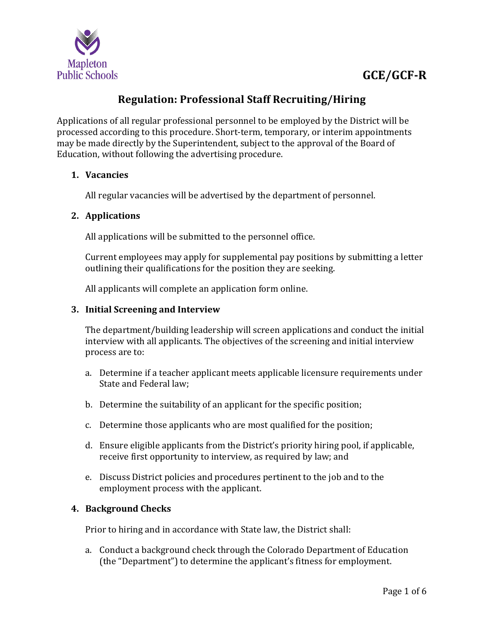

# **GCE/GCF-R**

### **Regulation: Professional Staff Recruiting/Hiring**

Applications of all regular professional personnel to be employed by the District will be processed according to this procedure. Short-term, temporary, or interim appointments may be made directly by the Superintendent, subject to the approval of the Board of Education, without following the advertising procedure.

### **1. Vacancies**

All regular vacancies will be advertised by the department of personnel.

### **2. Applications**

All applications will be submitted to the personnel office.

Current employees may apply for supplemental pay positions by submitting a letter outlining their qualifications for the position they are seeking.

All applicants will complete an application form online.

#### **3. Initial Screening and Interview**

The department/building leadership will screen applications and conduct the initial interview with all applicants. The objectives of the screening and initial interview process are to:

- a. Determine if a teacher applicant meets applicable licensure requirements under State and Federal law;
- b. Determine the suitability of an applicant for the specific position;
- c. Determine those applicants who are most qualified for the position;
- d. Ensure eligible applicants from the District's priority hiring pool, if applicable, receive first opportunity to interview, as required by law; and
- e. Discuss District policies and procedures pertinent to the job and to the employment process with the applicant.

### **4. Background Checks**

Prior to hiring and in accordance with State law, the District shall:

a. Conduct a background check through the Colorado Department of Education (the "Department") to determine the applicant's fitness for employment.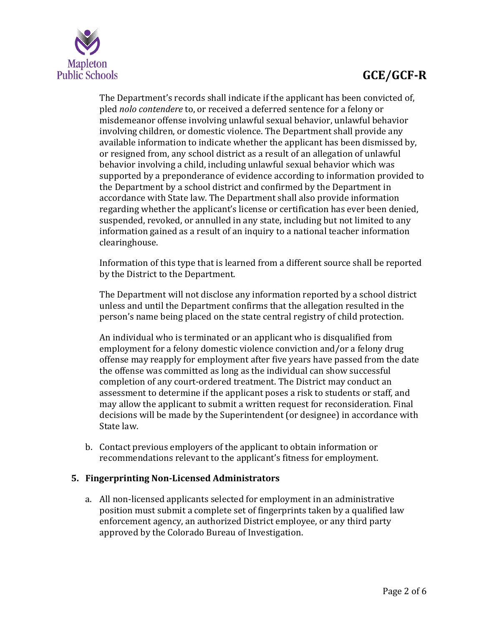

# **GCE/GCF-R**

The Department's records shall indicate if the applicant has been convicted of, pled *nolo contendere* to, or received a deferred sentence for a felony or misdemeanor offense involving unlawful sexual behavior, unlawful behavior involving children, or domestic violence. The Department shall provide any available information to indicate whether the applicant has been dismissed by, or resigned from, any school district as a result of an allegation of unlawful behavior involving a child, including unlawful sexual behavior which was supported by a preponderance of evidence according to information provided to the Department by a school district and confirmed by the Department in accordance with State law. The Department shall also provide information regarding whether the applicant's license or certification has ever been denied, suspended, revoked, or annulled in any state, including but not limited to any information gained as a result of an inquiry to a national teacher information clearinghouse.

Information of this type that is learned from a different source shall be reported by the District to the Department.

The Department will not disclose any information reported by a school district unless and until the Department confirms that the allegation resulted in the person's name being placed on the state central registry of child protection.

An individual who is terminated or an applicant who is disqualified from employment for a felony domestic violence conviction and/or a felony drug offense may reapply for employment after five years have passed from the date the offense was committed as long as the individual can show successful completion of any court-ordered treatment. The District may conduct an assessment to determine if the applicant poses a risk to students or staff, and may allow the applicant to submit a written request for reconsideration. Final decisions will be made by the Superintendent (or designee) in accordance with State law.

b. Contact previous employers of the applicant to obtain information or recommendations relevant to the applicant's fitness for employment.

### **5. Fingerprinting Non-Licensed Administrators**

a. All non-licensed applicants selected for employment in an administrative position must submit a complete set of fingerprints taken by a qualified law enforcement agency, an authorized District employee, or any third party approved by the Colorado Bureau of Investigation.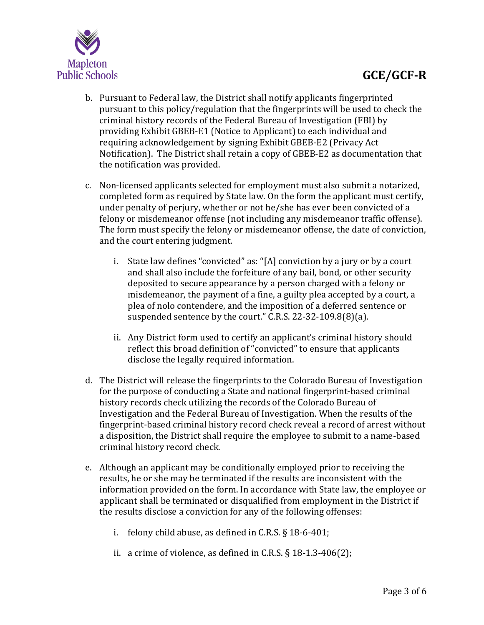

- b. Pursuant to Federal law, the District shall notify applicants fingerprinted pursuant to this policy/regulation that the fingerprints will be used to check the criminal history records of the Federal Bureau of Investigation (FBI) by providing Exhibit GBEB-E1 (Notice to Applicant) to each individual and requiring acknowledgement by signing Exhibit GBEB-E2 (Privacy Act Notification). The District shall retain a copy of GBEB-E2 as documentation that the notification was provided.
- c. Non-licensed applicants selected for employment must also submit a notarized, completed form as required by State law. On the form the applicant must certify, under penalty of perjury, whether or not he/she has ever been convicted of a felony or misdemeanor offense (not including any misdemeanor traffic offense). The form must specify the felony or misdemeanor offense, the date of conviction, and the court entering judgment.
	- i. State law defines "convicted" as: "[A] conviction by a jury or by a court and shall also include the forfeiture of any bail, bond, or other security deposited to secure appearance by a person charged with a felony or misdemeanor, the payment of a fine, a guilty plea accepted by a court, a plea of nolo contendere, and the imposition of a deferred sentence or suspended sentence by the court." C.R.S. 22-32-109.8(8)(a).
	- ii. Any District form used to certify an applicant's criminal history should reflect this broad definition of "convicted" to ensure that applicants disclose the legally required information.
- d. The District will release the fingerprints to the Colorado Bureau of Investigation for the purpose of conducting a State and national fingerprint-based criminal history records check utilizing the records of the Colorado Bureau of Investigation and the Federal Bureau of Investigation. When the results of the fingerprint-based criminal history record check reveal a record of arrest without a disposition, the District shall require the employee to submit to a name-based criminal history record check.
- e. Although an applicant may be conditionally employed prior to receiving the results, he or she may be terminated if the results are inconsistent with the information provided on the form. In accordance with State law, the employee or applicant shall be terminated or disqualified from employment in the District if the results disclose a conviction for any of the following offenses:
	- i. felony child abuse, as defined in C.R.S. § 18-6-401;
	- ii. a crime of violence, as defined in C.R.S.  $\S$  18-1.3-406(2);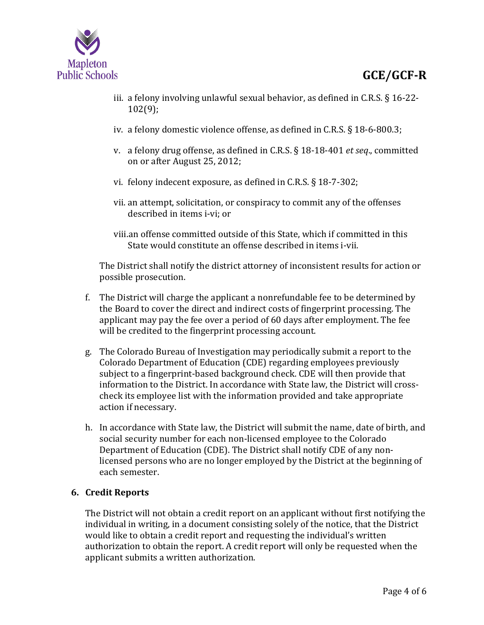

- iii. a felony involving unlawful sexual behavior, as defined in C.R.S. § 16-22- 102(9);
- iv. a felony domestic violence offense, as defined in C.R.S. § 18-6-800.3;
- v. a felony drug offense, as defined in C.R.S. § 18-18-401 *et seq*., committed on or after August 25, 2012;
- vi. felony indecent exposure, as defined in C.R.S. § 18-7-302;
- vii. an attempt, solicitation, or conspiracy to commit any of the offenses described in items i-vi; or
- viii.an offense committed outside of this State, which if committed in this State would constitute an offense described in items i-vii.

The District shall notify the district attorney of inconsistent results for action or possible prosecution.

- f. The District will charge the applicant a nonrefundable fee to be determined by the Board to cover the direct and indirect costs of fingerprint processing. The applicant may pay the fee over a period of 60 days after employment. The fee will be credited to the fingerprint processing account.
- g. The Colorado Bureau of Investigation may periodically submit a report to the Colorado Department of Education (CDE) regarding employees previously subject to a fingerprint-based background check. CDE will then provide that information to the District. In accordance with State law, the District will crosscheck its employee list with the information provided and take appropriate action if necessary.
- h. In accordance with State law, the District will submit the name, date of birth, and social security number for each non-licensed employee to the Colorado Department of Education (CDE). The District shall notify CDE of any nonlicensed persons who are no longer employed by the District at the beginning of each semester.

### **6. Credit Reports**

The District will not obtain a credit report on an applicant without first notifying the individual in writing, in a document consisting solely of the notice, that the District would like to obtain a credit report and requesting the individual's written authorization to obtain the report. A credit report will only be requested when the applicant submits a written authorization.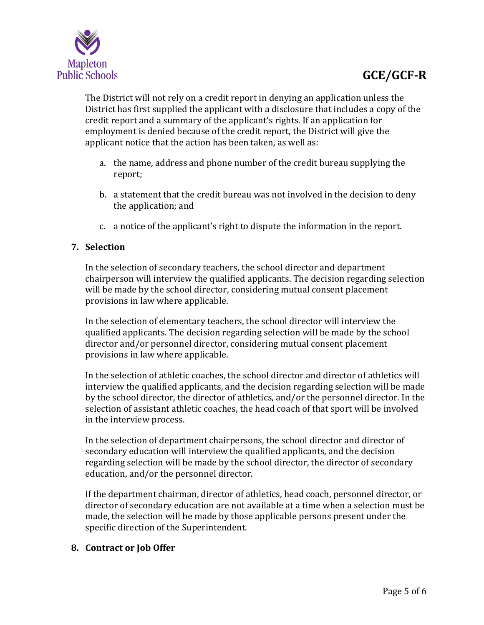

The District will not rely on a credit report in denying an application unless the District has first supplied the applicant with a disclosure that includes a copy of the credit report and a summary of the applicant's rights. If an application for employment is denied because of the credit report, the District will give the applicant notice that the action has been taken, as well as:

- a. the name, address and phone number of the credit bureau supplying the report;
- b. a statement that the credit bureau was not involved in the decision to deny the application; and
- c. a notice of the applicant's right to dispute the information in the report.

### **7. Selection**

In the selection of secondary teachers, the school director and department chairperson will interview the qualified applicants. The decision regarding selection will be made by the school director, considering mutual consent placement provisions in law where applicable.

In the selection of elementary teachers, the school director will interview the qualified applicants. The decision regarding selection will be made by the school director and/or personnel director, considering mutual consent placement provisions in law where applicable.

In the selection of athletic coaches, the school director and director of athletics will interview the qualified applicants, and the decision regarding selection will be made by the school director, the director of athletics, and/or the personnel director. In the selection of assistant athletic coaches, the head coach of that sport will be involved in the interview process.

In the selection of department chairpersons, the school director and director of secondary education will interview the qualified applicants, and the decision regarding selection will be made by the school director, the director of secondary education, and/or the personnel director.

If the department chairman, director of athletics, head coach, personnel director, or director of secondary education are not available at a time when a selection must be made, the selection will be made by those applicable persons present under the specific direction of the Superintendent.

### **8. Contract or Job Offer**